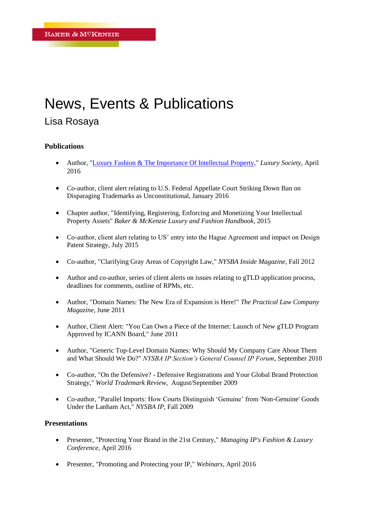## News, Events & Publications

## Lisa Rosaya

## **Publications**

- Author, ["Luxury Fashion & The Importance Of Intellectual Property,](http://luxurysociety.com/articles/2016/04/luxury-fashion-the-importance-of-intellectual-property)" *Luxury Society*, April 2016
- Co-author, client alert relating to U.S. Federal Appellate Court Striking Down Ban on Disparaging Trademarks as Unconstitutional, January 2016
- Chapter author, "Identifying, Registering, Enforcing and Monetizing Your Intellectual Property Assets" *Baker & McKenzie Luxury and Fashion Handbook*, 2015
- Co-author, client alert relating to US' entry into the Hague Agreement and impact on Design Patent Strategy, July 2015
- Co-author, "Clarifying Gray Areas of Copyright Law," *NYSBA Inside Magazine*, Fall 2012
- Author and co-author, series of client alerts on issues relating to gTLD application process, deadlines for comments, outline of RPMs, etc.
- Author, "Domain Names: The New Era of Expansion is Here!" *The Practical Law Company Magazine*, June 2011
- Author, Client Alert: "You Can Own a Piece of the Internet: Launch of New gTLD Program Approved by ICANN Board," June 2011
- Author, "Generic Top-Level Domain Names: Why Should My Company Care About Them and What Should We Do?" *NYSBA IP Section's General Counsel IP Forum*, September 2010
- Co-author, "On the Defensive? Defensive Registrations and Your Global Brand Protection Strategy," *World Trademark Review*, August/September 2009
- Co-author, "Parallel Imports: How Courts Distinguish 'Genuine' from 'Non-Genuine' Goods Under the Lanham Act," *NYSBA IP*, Fall 2009

## **Presentations**

- Presenter, "Protecting Your Brand in the 21st Century," *Managing IP's Fashion & Luxury Conference*, April 2016
- Presenter, "Promoting and Protecting your IP," *Webinars*, April 2016